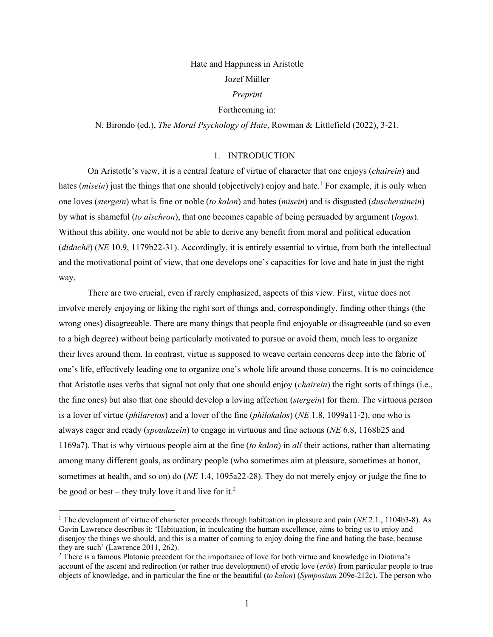# Hate and Happiness in Aristotle Jozef Müller

### *Preprint*

## Forthcoming in:

N. Birondo (ed.), *The Moral Psychology of Hate*, Rowman & Littlefield (2022), 3-21.

# 1. INTRODUCTION

On Aristotle's view, it is a central feature of virtue of character that one enjoys (*chairein*) and hates *(misein)* just the things that one should *(objectively)* enjoy and hate.<sup>1</sup> For example, it is only when one loves (*stergein*) what is fine or noble (*to kalon*) and hates (*misein*) and is disgusted (*duscherainein*) by what is shameful (*to aischron*), that one becomes capable of being persuaded by argument (*logos*). Without this ability, one would not be able to derive any benefit from moral and political education (*didachē*) (*NE* 10.9, 1179b22-31). Accordingly, it is entirely essential to virtue, from both the intellectual and the motivational point of view, that one develops one's capacities for love and hate in just the right way.

There are two crucial, even if rarely emphasized, aspects of this view. First, virtue does not involve merely enjoying or liking the right sort of things and, correspondingly, finding other things (the wrong ones) disagreeable. There are many things that people find enjoyable or disagreeable (and so even to a high degree) without being particularly motivated to pursue or avoid them, much less to organize their lives around them. In contrast, virtue is supposed to weave certain concerns deep into the fabric of one's life, effectively leading one to organize one's whole life around those concerns. It is no coincidence that Aristotle uses verbs that signal not only that one should enjoy (*chairein*) the right sorts of things (i.e., the fine ones) but also that one should develop a loving affection (*stergein*) for them. The virtuous person is a lover of virtue (*philaretos*) and a lover of the fine (*philokalos*) (*NE* 1.8, 1099a11-2), one who is always eager and ready (*spoudazein*) to engage in virtuous and fine actions (*NE* 6.8, 1168b25 and 1169a7). That is why virtuous people aim at the fine (*to kalon*) in *all* their actions, rather than alternating among many different goals, as ordinary people (who sometimes aim at pleasure, sometimes at honor, sometimes at health, and so on) do (*NE* 1.4, 1095a22-28). They do not merely enjoy or judge the fine to be good or best – they truly love it and live for it.<sup>2</sup>

<sup>&</sup>lt;sup>1</sup> The development of virtue of character proceeds through habituation in pleasure and pain (*NE* 2.1., 1104b3-8). As Gavin Lawrence describes it: 'Habituation, in inculcating the human excellence, aims to bring us to enjoy and disenjoy the things we should, and this is a matter of coming to enjoy doing the fine and hating the base, because they are such' (Lawrence 2011, 262).

<sup>2</sup> There is a famous Platonic precedent for the importance of love for both virtue and knowledge in Diotima's account of the ascent and redirection (or rather true development) of erotic love (*erōs*) from particular people to true objects of knowledge, and in particular the fine or the beautiful (*to kalon*) (*Symposium* 209e-212c). The person who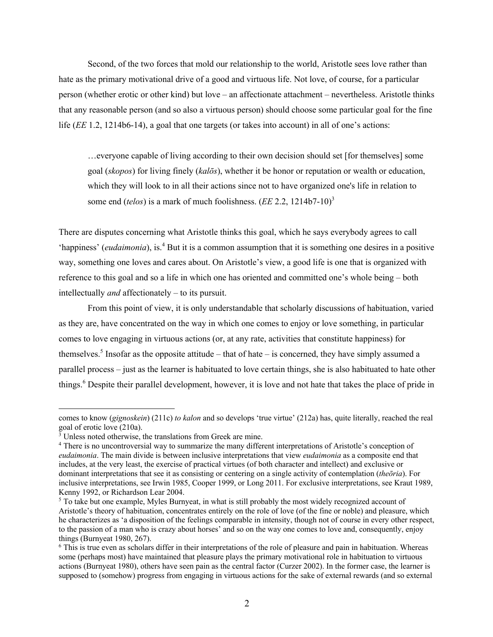Second, of the two forces that mold our relationship to the world, Aristotle sees love rather than hate as the primary motivational drive of a good and virtuous life. Not love, of course, for a particular person (whether erotic or other kind) but love – an affectionate attachment – nevertheless. Aristotle thinks that any reasonable person (and so also a virtuous person) should choose some particular goal for the fine life (*EE* 1.2, 1214b6-14), a goal that one targets (or takes into account) in all of one's actions:

…everyone capable of living according to their own decision should set [for themselves] some goal (*skopos*) for living finely (*kalōs*), whether it be honor or reputation or wealth or education, which they will look to in all their actions since not to have organized one's life in relation to some end (*telos*) is a mark of much foolishness. (*EE* 2.2, 1214b7-10)<sup>3</sup>

There are disputes concerning what Aristotle thinks this goal, which he says everybody agrees to call 'happiness' (*eudaimonia*), is.<sup>4</sup> But it is a common assumption that it is something one desires in a positive way, something one loves and cares about. On Aristotle's view, a good life is one that is organized with reference to this goal and so a life in which one has oriented and committed one's whole being – both intellectually *and* affectionately – to its pursuit.

From this point of view, it is only understandable that scholarly discussions of habituation, varied as they are, have concentrated on the way in which one comes to enjoy or love something, in particular comes to love engaging in virtuous actions (or, at any rate, activities that constitute happiness) for themselves.<sup>5</sup> Insofar as the opposite attitude – that of hate – is concerned, they have simply assumed a parallel process – just as the learner is habituated to love certain things, she is also habituated to hate other things.<sup>6</sup> Despite their parallel development, however, it is love and not hate that takes the place of pride in

comes to know (*gignoskein*) (211c) *to kalon* and so develops 'true virtue' (212a) has, quite literally, reached the real goal of erotic love (210a).

<sup>&</sup>lt;sup>3</sup> Unless noted otherwise, the translations from Greek are mine.

<sup>4</sup> There is no uncontroversial way to summarize the many different interpretations of Aristotle's conception of *eudaimonia*. The main divide is between inclusive interpretations that view *eudaimonia* as a composite end that includes, at the very least, the exercise of practical virtues (of both character and intellect) and exclusive or dominant interpretations that see it as consisting or centering on a single activity of contemplation (*theōria*). For inclusive interpretations, see Irwin 1985, Cooper 1999, or Long 2011. For exclusive interpretations, see Kraut 1989, Kenny 1992, or Richardson Lear 2004.

<sup>&</sup>lt;sup>5</sup> To take but one example, Myles Burnyeat, in what is still probably the most widely recognized account of Aristotle's theory of habituation, concentrates entirely on the role of love (of the fine or noble) and pleasure, which he characterizes as 'a disposition of the feelings comparable in intensity, though not of course in every other respect, to the passion of a man who is crazy about horses' and so on the way one comes to love and, consequently, enjoy things (Burnyeat 1980, 267).

<sup>&</sup>lt;sup>6</sup> This is true even as scholars differ in their interpretations of the role of pleasure and pain in habituation. Whereas some (perhaps most) have maintained that pleasure plays the primary motivational role in habituation to virtuous actions (Burnyeat 1980), others have seen pain as the central factor (Curzer 2002). In the former case, the learner is supposed to (somehow) progress from engaging in virtuous actions for the sake of external rewards (and so external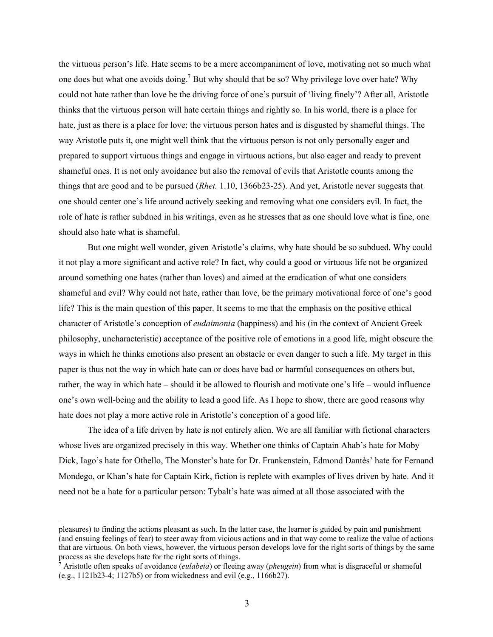the virtuous person's life. Hate seems to be a mere accompaniment of love, motivating not so much what one does but what one avoids doing.<sup>7</sup> But why should that be so? Why privilege love over hate? Why could not hate rather than love be the driving force of one's pursuit of 'living finely'? After all, Aristotle thinks that the virtuous person will hate certain things and rightly so. In his world, there is a place for hate, just as there is a place for love: the virtuous person hates and is disgusted by shameful things. The way Aristotle puts it, one might well think that the virtuous person is not only personally eager and prepared to support virtuous things and engage in virtuous actions, but also eager and ready to prevent shameful ones. It is not only avoidance but also the removal of evils that Aristotle counts among the things that are good and to be pursued (*Rhet.* 1.10, 1366b23-25). And yet, Aristotle never suggests that one should center one's life around actively seeking and removing what one considers evil. In fact, the role of hate is rather subdued in his writings, even as he stresses that as one should love what is fine, one should also hate what is shameful.

But one might well wonder, given Aristotle's claims, why hate should be so subdued. Why could it not play a more significant and active role? In fact, why could a good or virtuous life not be organized around something one hates (rather than loves) and aimed at the eradication of what one considers shameful and evil? Why could not hate, rather than love, be the primary motivational force of one's good life? This is the main question of this paper. It seems to me that the emphasis on the positive ethical character of Aristotle's conception of *eudaimonia* (happiness) and his (in the context of Ancient Greek philosophy, uncharacteristic) acceptance of the positive role of emotions in a good life, might obscure the ways in which he thinks emotions also present an obstacle or even danger to such a life. My target in this paper is thus not the way in which hate can or does have bad or harmful consequences on others but, rather, the way in which hate – should it be allowed to flourish and motivate one's life – would influence one's own well-being and the ability to lead a good life. As I hope to show, there are good reasons why hate does not play a more active role in Aristotle's conception of a good life.

The idea of a life driven by hate is not entirely alien. We are all familiar with fictional characters whose lives are organized precisely in this way. Whether one thinks of Captain Ahab's hate for Moby Dick, Iago's hate for Othello, The Monster's hate for Dr. Frankenstein, Edmond Dantès' hate for Fernand Mondego, or Khan's hate for Captain Kirk, fiction is replete with examples of lives driven by hate. And it need not be a hate for a particular person: Tybalt's hate was aimed at all those associated with the

pleasures) to finding the actions pleasant as such. In the latter case, the learner is guided by pain and punishment (and ensuing feelings of fear) to steer away from vicious actions and in that way come to realize the value of actions that are virtuous. On both views, however, the virtuous person develops love for the right sorts of things by the same process as she develops hate for the right sorts of things.

<sup>7</sup> Aristotle often speaks of avoidance (*eulabeia*) or fleeing away (*pheugein*) from what is disgraceful or shameful (e.g., 1121b23-4; 1127b5) or from wickedness and evil (e.g., 1166b27).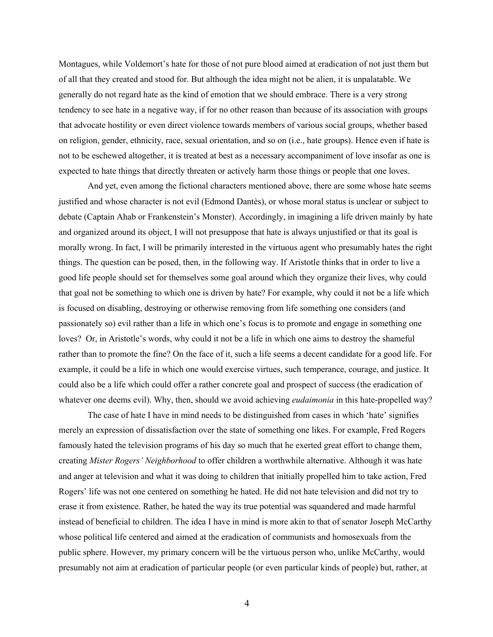Montagues, while Voldemort's hate for those of not pure blood aimed at eradication of not just them but of all that they created and stood for. But although the idea might not be alien, it is unpalatable. We generally do not regard hate as the kind of emotion that we should embrace. There is a very strong tendency to see hate in a negative way, if for no other reason than because of its association with groups that advocate hostility or even direct violence towards members of various social groups, whether based on religion, gender, ethnicity, race, sexual orientation, and so on (i.e., hate groups). Hence even if hate is not to be eschewed altogether, it is treated at best as a necessary accompaniment of love insofar as one is expected to hate things that directly threaten or actively harm those things or people that one loves.

And yet, even among the fictional characters mentioned above, there are some whose hate seems justified and whose character is not evil (Edmond Dantès), or whose moral status is unclear or subject to debate (Captain Ahab or Frankenstein's Monster). Accordingly, in imagining a life driven mainly by hate and organized around its object, I will not presuppose that hate is always unjustified or that its goal is morally wrong. In fact, I will be primarily interested in the virtuous agent who presumably hates the right things. The question can be posed, then, in the following way. If Aristotle thinks that in order to live a good life people should set for themselves some goal around which they organize their lives, why could that goal not be something to which one is driven by hate? For example, why could it not be a life which is focused on disabling, destroying or otherwise removing from life something one considers (and passionately so) evil rather than a life in which one's focus is to promote and engage in something one loves? Or, in Aristotle's words, why could it not be a life in which one aims to destroy the shameful rather than to promote the fine? On the face of it, such a life seems a decent candidate for a good life. For example, it could be a life in which one would exercise virtues, such temperance, courage, and justice. It could also be a life which could offer a rather concrete goal and prospect of success (the eradication of whatever one deems evil). Why, then, should we avoid achieving *eudaimonia* in this hate-propelled way?

The case of hate I have in mind needs to be distinguished from cases in which 'hate' signifies merely an expression of dissatisfaction over the state of something one likes. For example, Fred Rogers famously hated the television programs of his day so much that he exerted great effort to change them, creating *Mister Rogers' Neighborhood* to offer children a worthwhile alternative. Although it was hate and anger at television and what it was doing to children that initially propelled him to take action, Fred Rogers' life was not one centered on something he hated. He did not hate television and did not try to erase it from existence. Rather, he hated the way its true potential was squandered and made harmful instead of beneficial to children. The idea I have in mind is more akin to that of senator Joseph McCarthy whose political life centered and aimed at the eradication of communists and homosexuals from the public sphere. However, my primary concern will be the virtuous person who, unlike McCarthy, would presumably not aim at eradication of particular people (or even particular kinds of people) but, rather, at

4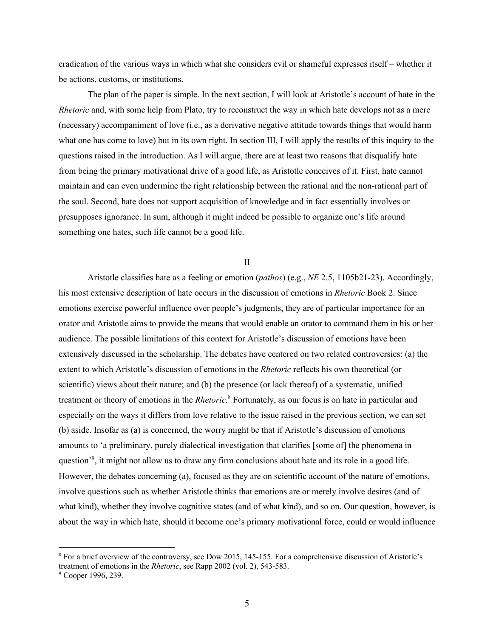eradication of the various ways in which what she considers evil or shameful expresses itself – whether it be actions, customs, or institutions.

The plan of the paper is simple. In the next section, I will look at Aristotle's account of hate in the *Rhetoric* and, with some help from Plato, try to reconstruct the way in which hate develops not as a mere (necessary) accompaniment of love (i.e., as a derivative negative attitude towards things that would harm what one has come to love) but in its own right. In section III, I will apply the results of this inquiry to the questions raised in the introduction. As I will argue, there are at least two reasons that disqualify hate from being the primary motivational drive of a good life, as Aristotle conceives of it. First, hate cannot maintain and can even undermine the right relationship between the rational and the non-rational part of the soul. Second, hate does not support acquisition of knowledge and in fact essentially involves or presupposes ignorance. In sum, although it might indeed be possible to organize one's life around something one hates, such life cannot be a good life.

II

Aristotle classifies hate as a feeling or emotion (*pathos*) (e.g., *NE* 2.5, 1105b21-23). Accordingly, his most extensive description of hate occurs in the discussion of emotions in *Rhetoric* Book 2. Since emotions exercise powerful influence over people's judgments, they are of particular importance for an orator and Aristotle aims to provide the means that would enable an orator to command them in his or her audience. The possible limitations of this context for Aristotle's discussion of emotions have been extensively discussed in the scholarship. The debates have centered on two related controversies: (a) the extent to which Aristotle's discussion of emotions in the *Rhetoric* reflects his own theoretical (or scientific) views about their nature; and (b) the presence (or lack thereof) of a systematic, unified treatment or theory of emotions in the *Rhetoric*. <sup>8</sup> Fortunately, as our focus is on hate in particular and especially on the ways it differs from love relative to the issue raised in the previous section, we can set (b) aside. Insofar as (a) is concerned, the worry might be that if Aristotle's discussion of emotions amounts to 'a preliminary, purely dialectical investigation that clarifies [some of] the phenomena in question<sup>'9</sup>, it might not allow us to draw any firm conclusions about hate and its role in a good life. However, the debates concerning (a), focused as they are on scientific account of the nature of emotions, involve questions such as whether Aristotle thinks that emotions are or merely involve desires (and of what kind), whether they involve cognitive states (and of what kind), and so on. Our question, however, is about the way in which hate, should it become one's primary motivational force, could or would influence

<sup>8</sup> For a brief overview of the controversy, see Dow 2015, 145-155. For a comprehensive discussion of Aristotle's treatment of emotions in the *Rhetoric*, see Rapp 2002 (vol. 2), 543-583.

<sup>&</sup>lt;sup>9</sup> Cooper 1996, 239.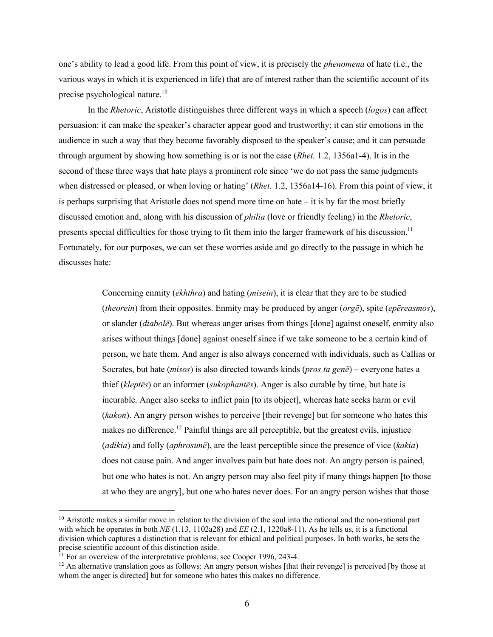one's ability to lead a good life. From this point of view, it is precisely the *phenomena* of hate (i.e., the various ways in which it is experienced in life) that are of interest rather than the scientific account of its precise psychological nature.<sup>10</sup>

In the *Rhetoric*, Aristotle distinguishes three different ways in which a speech (*logos*) can affect persuasion: it can make the speaker's character appear good and trustworthy; it can stir emotions in the audience in such a way that they become favorably disposed to the speaker's cause; and it can persuade through argument by showing how something is or is not the case (*Rhet.* 1.2, 1356a1-4). It is in the second of these three ways that hate plays a prominent role since 'we do not pass the same judgments when distressed or pleased, or when loving or hating' (*Rhet.* 1.2, 1356a14-16). From this point of view, it is perhaps surprising that Aristotle does not spend more time on hate – it is by far the most briefly discussed emotion and, along with his discussion of *philia* (love or friendly feeling) in the *Rhetoric*, presents special difficulties for those trying to fit them into the larger framework of his discussion.11 Fortunately, for our purposes, we can set these worries aside and go directly to the passage in which he discusses hate:

> Concerning enmity (*ekhthra*) and hating (*misein*), it is clear that they are to be studied (*theorein*) from their opposites. Enmity may be produced by anger (*orgē*), spite (*epēreasmos*), or slander (*diabolē*). But whereas anger arises from things [done] against oneself, enmity also arises without things [done] against oneself since if we take someone to be a certain kind of person, we hate them. And anger is also always concerned with individuals, such as Callias or Socrates, but hate (*misos*) is also directed towards kinds (*pros ta genē*) – everyone hates a thief (*kleptēs*) or an informer (*sukophantēs*). Anger is also curable by time, but hate is incurable. Anger also seeks to inflict pain [to its object], whereas hate seeks harm or evil (*kakon*). An angry person wishes to perceive [their revenge] but for someone who hates this makes no difference.<sup>12</sup> Painful things are all perceptible, but the greatest evils, injustice (*adikia*) and folly (*aphrosunē*), are the least perceptible since the presence of vice (*kakia*) does not cause pain. And anger involves pain but hate does not. An angry person is pained, but one who hates is not. An angry person may also feel pity if many things happen [to those at who they are angry], but one who hates never does. For an angry person wishes that those

 $10$  Aristotle makes a similar move in relation to the division of the soul into the rational and the non-rational part with which he operates in both *NE* (1.13, 1102a28) and *EE* (2.1, 1220a8-11). As he tells us, it is a functional division which captures a distinction that is relevant for ethical and political purposes. In both works, he sets the precise scientific account of this distinction aside.

 $11$  For an overview of the interpretative problems, see Cooper 1996, 243-4.

<sup>&</sup>lt;sup>12</sup> An alternative translation goes as follows: An angry person wishes [that their revenge] is perceived [by those at whom the anger is directed] but for someone who hates this makes no difference.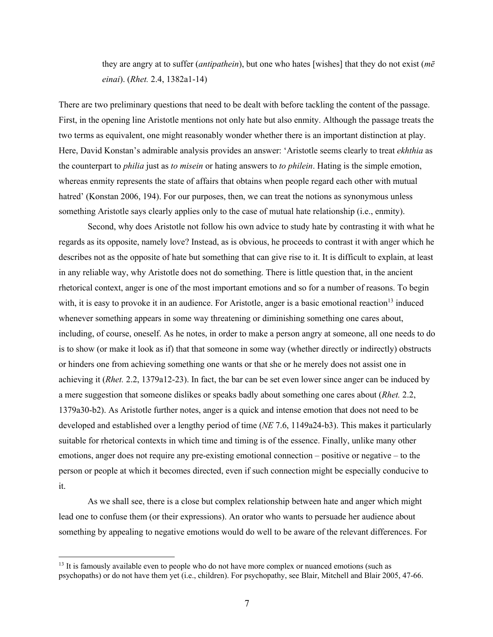they are angry at to suffer (*antipathein*), but one who hates [wishes] that they do not exist (*mē einai*). (*Rhet.* 2.4, 1382a1-14)

There are two preliminary questions that need to be dealt with before tackling the content of the passage. First, in the opening line Aristotle mentions not only hate but also enmity. Although the passage treats the two terms as equivalent, one might reasonably wonder whether there is an important distinction at play. Here, David Konstan's admirable analysis provides an answer: 'Aristotle seems clearly to treat *ekhthia* as the counterpart to *philia* just as *to misein* or hating answers to *to philein*. Hating is the simple emotion, whereas enmity represents the state of affairs that obtains when people regard each other with mutual hatred' (Konstan 2006, 194). For our purposes, then, we can treat the notions as synonymous unless something Aristotle says clearly applies only to the case of mutual hate relationship (i.e., enmity).

Second, why does Aristotle not follow his own advice to study hate by contrasting it with what he regards as its opposite, namely love? Instead, as is obvious, he proceeds to contrast it with anger which he describes not as the opposite of hate but something that can give rise to it. It is difficult to explain, at least in any reliable way, why Aristotle does not do something. There is little question that, in the ancient rhetorical context, anger is one of the most important emotions and so for a number of reasons. To begin with, it is easy to provoke it in an audience. For Aristotle, anger is a basic emotional reaction<sup>13</sup> induced whenever something appears in some way threatening or diminishing something one cares about, including, of course, oneself. As he notes, in order to make a person angry at someone, all one needs to do is to show (or make it look as if) that that someone in some way (whether directly or indirectly) obstructs or hinders one from achieving something one wants or that she or he merely does not assist one in achieving it (*Rhet.* 2.2, 1379a12-23). In fact, the bar can be set even lower since anger can be induced by a mere suggestion that someone dislikes or speaks badly about something one cares about (*Rhet.* 2.2, 1379a30-b2). As Aristotle further notes, anger is a quick and intense emotion that does not need to be developed and established over a lengthy period of time (*NE* 7.6, 1149a24-b3). This makes it particularly suitable for rhetorical contexts in which time and timing is of the essence. Finally, unlike many other emotions, anger does not require any pre-existing emotional connection – positive or negative – to the person or people at which it becomes directed, even if such connection might be especially conducive to it.

As we shall see, there is a close but complex relationship between hate and anger which might lead one to confuse them (or their expressions). An orator who wants to persuade her audience about something by appealing to negative emotions would do well to be aware of the relevant differences. For

<sup>&</sup>lt;sup>13</sup> It is famously available even to people who do not have more complex or nuanced emotions (such as psychopaths) or do not have them yet (i.e., children). For psychopathy, see Blair, Mitchell and Blair 2005, 47-66.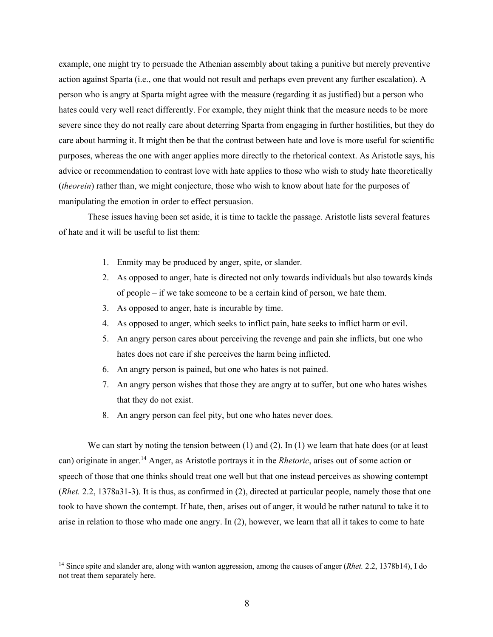example, one might try to persuade the Athenian assembly about taking a punitive but merely preventive action against Sparta (i.e., one that would not result and perhaps even prevent any further escalation). A person who is angry at Sparta might agree with the measure (regarding it as justified) but a person who hates could very well react differently. For example, they might think that the measure needs to be more severe since they do not really care about deterring Sparta from engaging in further hostilities, but they do care about harming it. It might then be that the contrast between hate and love is more useful for scientific purposes, whereas the one with anger applies more directly to the rhetorical context. As Aristotle says, his advice or recommendation to contrast love with hate applies to those who wish to study hate theoretically (*theorein*) rather than, we might conjecture, those who wish to know about hate for the purposes of manipulating the emotion in order to effect persuasion.

These issues having been set aside, it is time to tackle the passage. Aristotle lists several features of hate and it will be useful to list them:

- 1. Enmity may be produced by anger, spite, or slander.
- 2. As opposed to anger, hate is directed not only towards individuals but also towards kinds of people – if we take someone to be a certain kind of person, we hate them.
- 3. As opposed to anger, hate is incurable by time.
- 4. As opposed to anger, which seeks to inflict pain, hate seeks to inflict harm or evil.
- 5. An angry person cares about perceiving the revenge and pain she inflicts, but one who hates does not care if she perceives the harm being inflicted.
- 6. An angry person is pained, but one who hates is not pained.
- 7. An angry person wishes that those they are angry at to suffer, but one who hates wishes that they do not exist.
- 8. An angry person can feel pity, but one who hates never does.

We can start by noting the tension between  $(1)$  and  $(2)$ . In  $(1)$  we learn that hate does (or at least can) originate in anger.14 Anger, as Aristotle portrays it in the *Rhetoric*, arises out of some action or speech of those that one thinks should treat one well but that one instead perceives as showing contempt (*Rhet.* 2.2, 1378a31-3). It is thus, as confirmed in (2), directed at particular people, namely those that one took to have shown the contempt. If hate, then, arises out of anger, it would be rather natural to take it to arise in relation to those who made one angry. In (2), however, we learn that all it takes to come to hate

<sup>14</sup> Since spite and slander are, along with wanton aggression, among the causes of anger (*Rhet.* 2.2, 1378b14), I do not treat them separately here.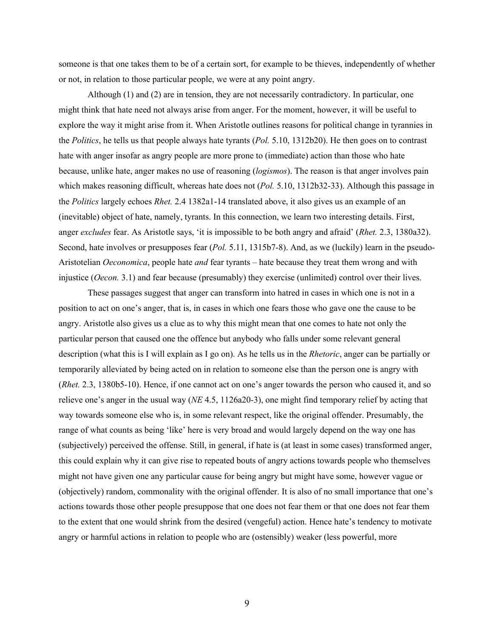someone is that one takes them to be of a certain sort, for example to be thieves, independently of whether or not, in relation to those particular people, we were at any point angry.

Although (1) and (2) are in tension, they are not necessarily contradictory. In particular, one might think that hate need not always arise from anger. For the moment, however, it will be useful to explore the way it might arise from it. When Aristotle outlines reasons for political change in tyrannies in the *Politics*, he tells us that people always hate tyrants (*Pol.* 5.10, 1312b20). He then goes on to contrast hate with anger insofar as angry people are more prone to (immediate) action than those who hate because, unlike hate, anger makes no use of reasoning (*logismos*). The reason is that anger involves pain which makes reasoning difficult, whereas hate does not (*Pol.* 5.10, 1312b32-33). Although this passage in the *Politics* largely echoes *Rhet.* 2.4 1382a1-14 translated above, it also gives us an example of an (inevitable) object of hate, namely, tyrants. In this connection, we learn two interesting details. First, anger *excludes* fear. As Aristotle says, 'it is impossible to be both angry and afraid' (*Rhet.* 2.3, 1380a32). Second, hate involves or presupposes fear (*Pol.* 5.11, 1315b7-8). And, as we (luckily) learn in the pseudo-Aristotelian *Oeconomica*, people hate *and* fear tyrants – hate because they treat them wrong and with injustice (*Oecon.* 3.1) and fear because (presumably) they exercise (unlimited) control over their lives.

These passages suggest that anger can transform into hatred in cases in which one is not in a position to act on one's anger, that is, in cases in which one fears those who gave one the cause to be angry. Aristotle also gives us a clue as to why this might mean that one comes to hate not only the particular person that caused one the offence but anybody who falls under some relevant general description (what this is I will explain as I go on). As he tells us in the *Rhetoric*, anger can be partially or temporarily alleviated by being acted on in relation to someone else than the person one is angry with (*Rhet.* 2.3, 1380b5-10). Hence, if one cannot act on one's anger towards the person who caused it, and so relieve one's anger in the usual way (*NE* 4.5, 1126a20-3), one might find temporary relief by acting that way towards someone else who is, in some relevant respect, like the original offender. Presumably, the range of what counts as being 'like' here is very broad and would largely depend on the way one has (subjectively) perceived the offense. Still, in general, if hate is (at least in some cases) transformed anger, this could explain why it can give rise to repeated bouts of angry actions towards people who themselves might not have given one any particular cause for being angry but might have some, however vague or (objectively) random, commonality with the original offender. It is also of no small importance that one's actions towards those other people presuppose that one does not fear them or that one does not fear them to the extent that one would shrink from the desired (vengeful) action. Hence hate's tendency to motivate angry or harmful actions in relation to people who are (ostensibly) weaker (less powerful, more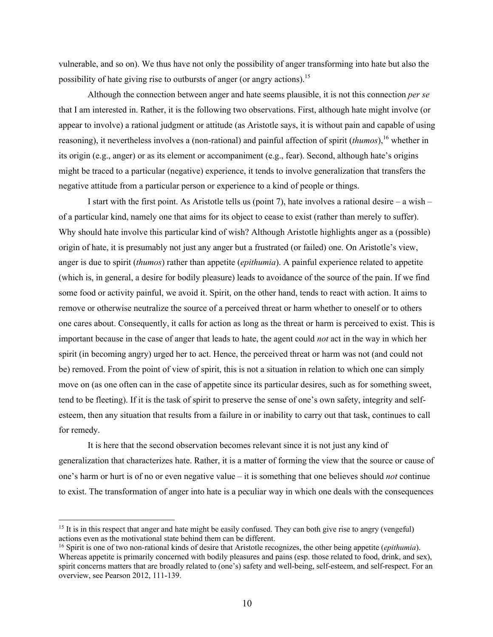vulnerable, and so on). We thus have not only the possibility of anger transforming into hate but also the possibility of hate giving rise to outbursts of anger (or angry actions).<sup>15</sup>

Although the connection between anger and hate seems plausible, it is not this connection *per se*  that I am interested in. Rather, it is the following two observations. First, although hate might involve (or appear to involve) a rational judgment or attitude (as Aristotle says, it is without pain and capable of using reasoning), it nevertheless involves a (non-rational) and painful affection of spirit (*thumos*),<sup>16</sup> whether in its origin (e.g., anger) or as its element or accompaniment (e.g., fear). Second, although hate's origins might be traced to a particular (negative) experience, it tends to involve generalization that transfers the negative attitude from a particular person or experience to a kind of people or things.

I start with the first point. As Aristotle tells us (point 7), hate involves a rational desire – a wish – of a particular kind, namely one that aims for its object to cease to exist (rather than merely to suffer). Why should hate involve this particular kind of wish? Although Aristotle highlights anger as a (possible) origin of hate, it is presumably not just any anger but a frustrated (or failed) one. On Aristotle's view, anger is due to spirit (*thumos*) rather than appetite (*epithumia*). A painful experience related to appetite (which is, in general, a desire for bodily pleasure) leads to avoidance of the source of the pain. If we find some food or activity painful, we avoid it. Spirit, on the other hand, tends to react with action. It aims to remove or otherwise neutralize the source of a perceived threat or harm whether to oneself or to others one cares about. Consequently, it calls for action as long as the threat or harm is perceived to exist. This is important because in the case of anger that leads to hate, the agent could *not* act in the way in which her spirit (in becoming angry) urged her to act. Hence, the perceived threat or harm was not (and could not be) removed. From the point of view of spirit, this is not a situation in relation to which one can simply move on (as one often can in the case of appetite since its particular desires, such as for something sweet, tend to be fleeting). If it is the task of spirit to preserve the sense of one's own safety, integrity and selfesteem, then any situation that results from a failure in or inability to carry out that task, continues to call for remedy.

It is here that the second observation becomes relevant since it is not just any kind of generalization that characterizes hate. Rather, it is a matter of forming the view that the source or cause of one's harm or hurt is of no or even negative value – it is something that one believes should *not* continue to exist. The transformation of anger into hate is a peculiar way in which one deals with the consequences

<sup>&</sup>lt;sup>15</sup> It is in this respect that anger and hate might be easily confused. They can both give rise to angry (vengeful) actions even as the motivational state behind them can be different.

<sup>16</sup> Spirit is one of two non-rational kinds of desire that Aristotle recognizes, the other being appetite (*epithumia*). Whereas appetite is primarily concerned with bodily pleasures and pains (esp. those related to food, drink, and sex), spirit concerns matters that are broadly related to (one's) safety and well-being, self-esteem, and self-respect. For an overview, see Pearson 2012, 111-139.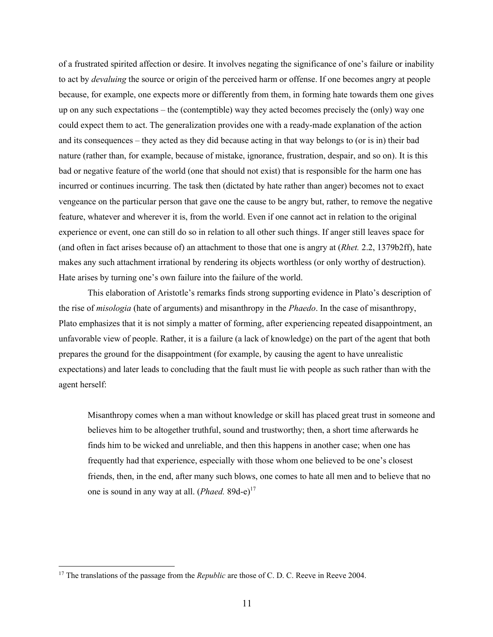of a frustrated spirited affection or desire. It involves negating the significance of one's failure or inability to act by *devaluing* the source or origin of the perceived harm or offense. If one becomes angry at people because, for example, one expects more or differently from them, in forming hate towards them one gives up on any such expectations – the (contemptible) way they acted becomes precisely the (only) way one could expect them to act. The generalization provides one with a ready-made explanation of the action and its consequences – they acted as they did because acting in that way belongs to (or is in) their bad nature (rather than, for example, because of mistake, ignorance, frustration, despair, and so on). It is this bad or negative feature of the world (one that should not exist) that is responsible for the harm one has incurred or continues incurring. The task then (dictated by hate rather than anger) becomes not to exact vengeance on the particular person that gave one the cause to be angry but, rather, to remove the negative feature, whatever and wherever it is, from the world. Even if one cannot act in relation to the original experience or event, one can still do so in relation to all other such things. If anger still leaves space for (and often in fact arises because of) an attachment to those that one is angry at (*Rhet.* 2.2, 1379b2ff), hate makes any such attachment irrational by rendering its objects worthless (or only worthy of destruction). Hate arises by turning one's own failure into the failure of the world.

This elaboration of Aristotle's remarks finds strong supporting evidence in Plato's description of the rise of *misologia* (hate of arguments) and misanthropy in the *Phaedo*. In the case of misanthropy, Plato emphasizes that it is not simply a matter of forming, after experiencing repeated disappointment, an unfavorable view of people. Rather, it is a failure (a lack of knowledge) on the part of the agent that both prepares the ground for the disappointment (for example, by causing the agent to have unrealistic expectations) and later leads to concluding that the fault must lie with people as such rather than with the agent herself:

Misanthropy comes when a man without knowledge or skill has placed great trust in someone and believes him to be altogether truthful, sound and trustworthy; then, a short time afterwards he finds him to be wicked and unreliable, and then this happens in another case; when one has frequently had that experience, especially with those whom one believed to be one's closest friends, then, in the end, after many such blows, one comes to hate all men and to believe that no one is sound in any way at all. (*Phaed.* 89d-e)<sup>17</sup>

<sup>&</sup>lt;sup>17</sup> The translations of the passage from the *Republic* are those of C. D. C. Reeve in Reeve 2004.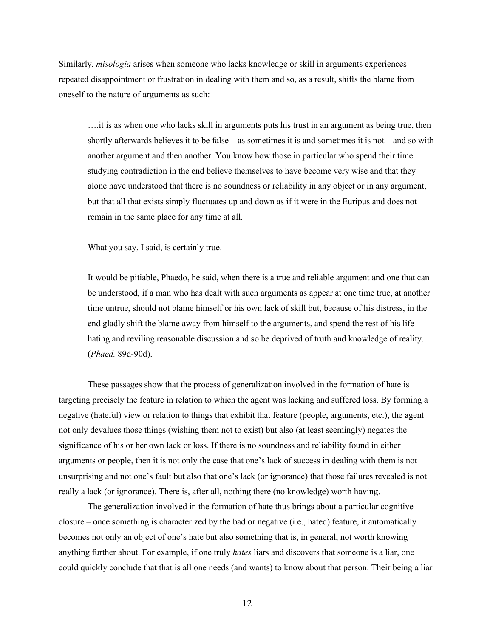Similarly, *misologia* arises when someone who lacks knowledge or skill in arguments experiences repeated disappointment or frustration in dealing with them and so, as a result, shifts the blame from oneself to the nature of arguments as such:

….it is as when one who lacks skill in arguments puts his trust in an argument as being true, then shortly afterwards believes it to be false—as sometimes it is and sometimes it is not—and so with another argument and then another. You know how those in particular who spend their time studying contradiction in the end believe themselves to have become very wise and that they alone have understood that there is no soundness or reliability in any object or in any argument, but that all that exists simply fluctuates up and down as if it were in the Euripus and does not remain in the same place for any time at all.

What you say, I said, is certainly true.

It would be pitiable, Phaedo, he said, when there is a true and reliable argument and one that can be understood, if a man who has dealt with such arguments as appear at one time true, at another time untrue, should not blame himself or his own lack of skill but, because of his distress, in the end gladly shift the blame away from himself to the arguments, and spend the rest of his life hating and reviling reasonable discussion and so be deprived of truth and knowledge of reality. (*Phaed.* 89d-90d).

These passages show that the process of generalization involved in the formation of hate is targeting precisely the feature in relation to which the agent was lacking and suffered loss. By forming a negative (hateful) view or relation to things that exhibit that feature (people, arguments, etc.), the agent not only devalues those things (wishing them not to exist) but also (at least seemingly) negates the significance of his or her own lack or loss. If there is no soundness and reliability found in either arguments or people, then it is not only the case that one's lack of success in dealing with them is not unsurprising and not one's fault but also that one's lack (or ignorance) that those failures revealed is not really a lack (or ignorance). There is, after all, nothing there (no knowledge) worth having.

The generalization involved in the formation of hate thus brings about a particular cognitive closure – once something is characterized by the bad or negative (i.e., hated) feature, it automatically becomes not only an object of one's hate but also something that is, in general, not worth knowing anything further about. For example, if one truly *hates* liars and discovers that someone is a liar, one could quickly conclude that that is all one needs (and wants) to know about that person. Their being a liar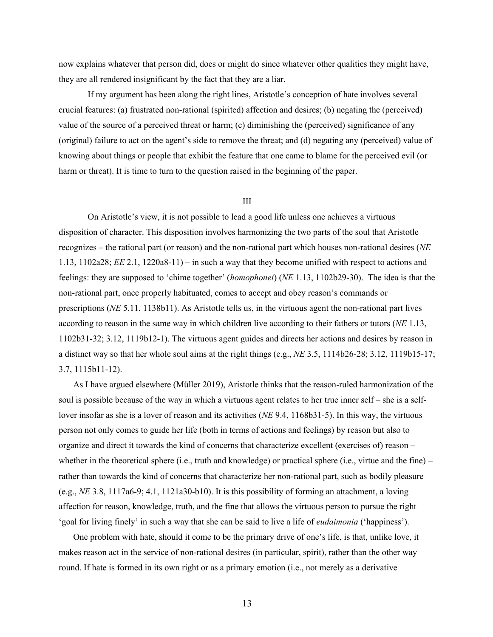now explains whatever that person did, does or might do since whatever other qualities they might have, they are all rendered insignificant by the fact that they are a liar.

If my argument has been along the right lines, Aristotle's conception of hate involves several crucial features: (a) frustrated non-rational (spirited) affection and desires; (b) negating the (perceived) value of the source of a perceived threat or harm; (c) diminishing the (perceived) significance of any (original) failure to act on the agent's side to remove the threat; and (d) negating any (perceived) value of knowing about things or people that exhibit the feature that one came to blame for the perceived evil (or harm or threat). It is time to turn to the question raised in the beginning of the paper.

## III

On Aristotle's view, it is not possible to lead a good life unless one achieves a virtuous disposition of character. This disposition involves harmonizing the two parts of the soul that Aristotle recognizes – the rational part (or reason) and the non-rational part which houses non-rational desires (*NE*  1.13, 1102a28; *EE* 2.1, 1220a8-11) – in such a way that they become unified with respect to actions and feelings: they are supposed to 'chime together' (*homophonei*) (*NE* 1.13, 1102b29-30). The idea is that the non-rational part, once properly habituated, comes to accept and obey reason's commands or prescriptions (*NE* 5.11, 1138b11). As Aristotle tells us, in the virtuous agent the non-rational part lives according to reason in the same way in which children live according to their fathers or tutors (*NE* 1.13, 1102b31-32; 3.12, 1119b12-1). The virtuous agent guides and directs her actions and desires by reason in a distinct way so that her whole soul aims at the right things (e.g., *NE* 3.5, 1114b26-28; 3.12, 1119b15-17; 3.7, 1115b11-12).

As I have argued elsewhere (Müller 2019), Aristotle thinks that the reason-ruled harmonization of the soul is possible because of the way in which a virtuous agent relates to her true inner self – she is a selflover insofar as she is a lover of reason and its activities (*NE* 9.4, 1168b31-5). In this way, the virtuous person not only comes to guide her life (both in terms of actions and feelings) by reason but also to organize and direct it towards the kind of concerns that characterize excellent (exercises of) reason – whether in the theoretical sphere (i.e., truth and knowledge) or practical sphere (i.e., virtue and the fine) – rather than towards the kind of concerns that characterize her non-rational part, such as bodily pleasure (e.g., *NE* 3.8, 1117a6-9; 4.1, 1121a30-b10). It is this possibility of forming an attachment, a loving affection for reason, knowledge, truth, and the fine that allows the virtuous person to pursue the right 'goal for living finely' in such a way that she can be said to live a life of *eudaimonia* ('happiness').

One problem with hate, should it come to be the primary drive of one's life, is that, unlike love, it makes reason act in the service of non-rational desires (in particular, spirit), rather than the other way round. If hate is formed in its own right or as a primary emotion (i.e., not merely as a derivative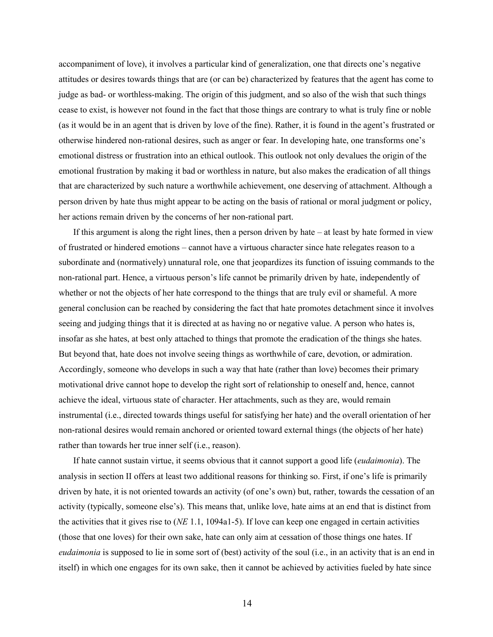accompaniment of love), it involves a particular kind of generalization, one that directs one's negative attitudes or desires towards things that are (or can be) characterized by features that the agent has come to judge as bad- or worthless-making. The origin of this judgment, and so also of the wish that such things cease to exist, is however not found in the fact that those things are contrary to what is truly fine or noble (as it would be in an agent that is driven by love of the fine). Rather, it is found in the agent's frustrated or otherwise hindered non-rational desires, such as anger or fear. In developing hate, one transforms one's emotional distress or frustration into an ethical outlook. This outlook not only devalues the origin of the emotional frustration by making it bad or worthless in nature, but also makes the eradication of all things that are characterized by such nature a worthwhile achievement, one deserving of attachment. Although a person driven by hate thus might appear to be acting on the basis of rational or moral judgment or policy, her actions remain driven by the concerns of her non-rational part.

If this argument is along the right lines, then a person driven by hate – at least by hate formed in view of frustrated or hindered emotions – cannot have a virtuous character since hate relegates reason to a subordinate and (normatively) unnatural role, one that jeopardizes its function of issuing commands to the non-rational part. Hence, a virtuous person's life cannot be primarily driven by hate, independently of whether or not the objects of her hate correspond to the things that are truly evil or shameful. A more general conclusion can be reached by considering the fact that hate promotes detachment since it involves seeing and judging things that it is directed at as having no or negative value. A person who hates is, insofar as she hates, at best only attached to things that promote the eradication of the things she hates. But beyond that, hate does not involve seeing things as worthwhile of care, devotion, or admiration. Accordingly, someone who develops in such a way that hate (rather than love) becomes their primary motivational drive cannot hope to develop the right sort of relationship to oneself and, hence, cannot achieve the ideal, virtuous state of character. Her attachments, such as they are, would remain instrumental (i.e., directed towards things useful for satisfying her hate) and the overall orientation of her non-rational desires would remain anchored or oriented toward external things (the objects of her hate) rather than towards her true inner self (i.e., reason).

If hate cannot sustain virtue, it seems obvious that it cannot support a good life (*eudaimonia*). The analysis in section II offers at least two additional reasons for thinking so. First, if one's life is primarily driven by hate, it is not oriented towards an activity (of one's own) but, rather, towards the cessation of an activity (typically, someone else's). This means that, unlike love, hate aims at an end that is distinct from the activities that it gives rise to (*NE* 1.1, 1094a1-5). If love can keep one engaged in certain activities (those that one loves) for their own sake, hate can only aim at cessation of those things one hates. If *eudaimonia* is supposed to lie in some sort of (best) activity of the soul (i.e., in an activity that is an end in itself) in which one engages for its own sake, then it cannot be achieved by activities fueled by hate since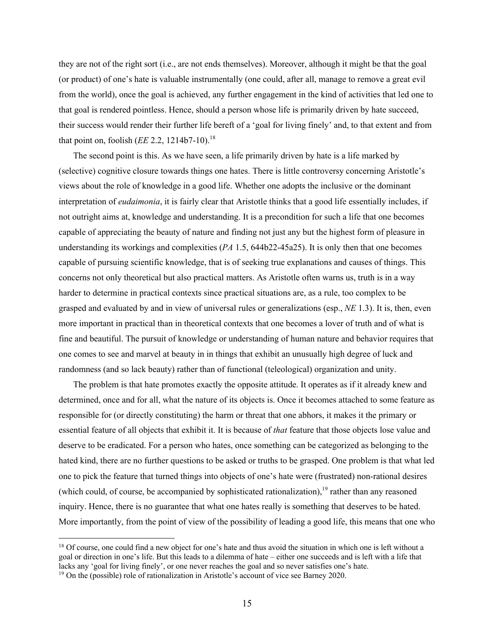they are not of the right sort (i.e., are not ends themselves). Moreover, although it might be that the goal (or product) of one's hate is valuable instrumentally (one could, after all, manage to remove a great evil from the world), once the goal is achieved, any further engagement in the kind of activities that led one to that goal is rendered pointless. Hence, should a person whose life is primarily driven by hate succeed, their success would render their further life bereft of a 'goal for living finely' and, to that extent and from that point on, foolish (*EE* 2.2, 1214b7-10).<sup>18</sup>

The second point is this. As we have seen, a life primarily driven by hate is a life marked by (selective) cognitive closure towards things one hates. There is little controversy concerning Aristotle's views about the role of knowledge in a good life. Whether one adopts the inclusive or the dominant interpretation of *eudaimonia*, it is fairly clear that Aristotle thinks that a good life essentially includes, if not outright aims at, knowledge and understanding. It is a precondition for such a life that one becomes capable of appreciating the beauty of nature and finding not just any but the highest form of pleasure in understanding its workings and complexities (*PA* 1.5, 644b22-45a25). It is only then that one becomes capable of pursuing scientific knowledge, that is of seeking true explanations and causes of things. This concerns not only theoretical but also practical matters. As Aristotle often warns us, truth is in a way harder to determine in practical contexts since practical situations are, as a rule, too complex to be grasped and evaluated by and in view of universal rules or generalizations (esp., *NE* 1.3). It is, then, even more important in practical than in theoretical contexts that one becomes a lover of truth and of what is fine and beautiful. The pursuit of knowledge or understanding of human nature and behavior requires that one comes to see and marvel at beauty in in things that exhibit an unusually high degree of luck and randomness (and so lack beauty) rather than of functional (teleological) organization and unity.

The problem is that hate promotes exactly the opposite attitude. It operates as if it already knew and determined, once and for all, what the nature of its objects is. Once it becomes attached to some feature as responsible for (or directly constituting) the harm or threat that one abhors, it makes it the primary or essential feature of all objects that exhibit it. It is because of *that* feature that those objects lose value and deserve to be eradicated. For a person who hates, once something can be categorized as belonging to the hated kind, there are no further questions to be asked or truths to be grasped. One problem is that what led one to pick the feature that turned things into objects of one's hate were (frustrated) non-rational desires (which could, of course, be accompanied by sophisticated rationalization),<sup>19</sup> rather than any reasoned inquiry. Hence, there is no guarantee that what one hates really is something that deserves to be hated. More importantly, from the point of view of the possibility of leading a good life, this means that one who

<sup>&</sup>lt;sup>18</sup> Of course, one could find a new object for one's hate and thus avoid the situation in which one is left without a goal or direction in one's life. But this leads to a dilemma of hate – either one succeeds and is left with a life that lacks any 'goal for living finely', or one never reaches the goal and so never satisfies one's hate. 19 On the (possible) role of rationalization in Aristotle's account of vice see Barney 2020.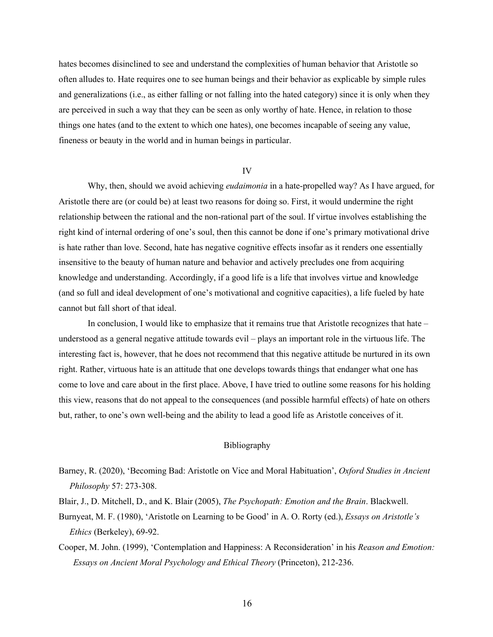hates becomes disinclined to see and understand the complexities of human behavior that Aristotle so often alludes to. Hate requires one to see human beings and their behavior as explicable by simple rules and generalizations (i.e., as either falling or not falling into the hated category) since it is only when they are perceived in such a way that they can be seen as only worthy of hate. Hence, in relation to those things one hates (and to the extent to which one hates), one becomes incapable of seeing any value, fineness or beauty in the world and in human beings in particular.

#### IV

Why, then, should we avoid achieving *eudaimonia* in a hate-propelled way? As I have argued, for Aristotle there are (or could be) at least two reasons for doing so. First, it would undermine the right relationship between the rational and the non-rational part of the soul. If virtue involves establishing the right kind of internal ordering of one's soul, then this cannot be done if one's primary motivational drive is hate rather than love. Second, hate has negative cognitive effects insofar as it renders one essentially insensitive to the beauty of human nature and behavior and actively precludes one from acquiring knowledge and understanding. Accordingly, if a good life is a life that involves virtue and knowledge (and so full and ideal development of one's motivational and cognitive capacities), a life fueled by hate cannot but fall short of that ideal.

In conclusion, I would like to emphasize that it remains true that Aristotle recognizes that hate – understood as a general negative attitude towards evil – plays an important role in the virtuous life. The interesting fact is, however, that he does not recommend that this negative attitude be nurtured in its own right. Rather, virtuous hate is an attitude that one develops towards things that endanger what one has come to love and care about in the first place. Above, I have tried to outline some reasons for his holding this view, reasons that do not appeal to the consequences (and possible harmful effects) of hate on others but, rather, to one's own well-being and the ability to lead a good life as Aristotle conceives of it.

## Bibliography

- Barney, R. (2020), 'Becoming Bad: Aristotle on Vice and Moral Habituation', *Oxford Studies in Ancient Philosophy* 57: 273-308.
- Blair, J., D. Mitchell, D., and K. Blair (2005), *The Psychopath: Emotion and the Brain*. Blackwell.
- Burnyeat, M. F. (1980), 'Aristotle on Learning to be Good' in A. O. Rorty (ed.), *Essays on Aristotle's Ethics* (Berkeley), 69-92.
- Cooper, M. John. (1999), 'Contemplation and Happiness: A Reconsideration' in his *Reason and Emotion: Essays on Ancient Moral Psychology and Ethical Theory* (Princeton), 212-236.